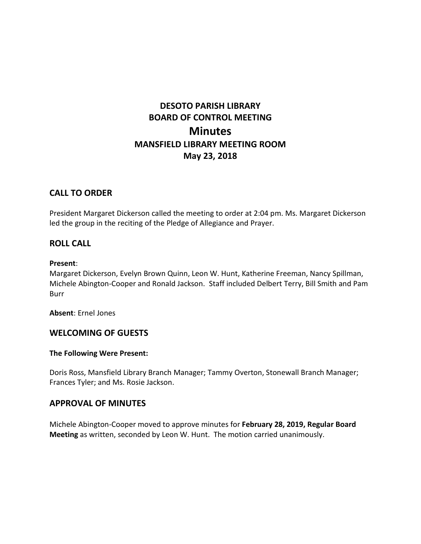# **DESOTO PARISH LIBRARY BOARD OF CONTROL MEETING Minutes MANSFIELD LIBRARY MEETING ROOM May 23, 2018**

# **CALL TO ORDER**

President Margaret Dickerson called the meeting to order at 2:04 pm. Ms. Margaret Dickerson led the group in the reciting of the Pledge of Allegiance and Prayer.

# **ROLL CALL**

#### **Present**:

Margaret Dickerson, Evelyn Brown Quinn, Leon W. Hunt, Katherine Freeman, Nancy Spillman, Michele Abington-Cooper and Ronald Jackson. Staff included Delbert Terry, Bill Smith and Pam Burr

**Absent**: Ernel Jones

# **WELCOMING OF GUESTS**

## **The Following Were Present:**

Doris Ross, Mansfield Library Branch Manager; Tammy Overton, Stonewall Branch Manager; Frances Tyler; and Ms. Rosie Jackson.

# **APPROVAL OF MINUTES**

Michele Abington-Cooper moved to approve minutes for **February 28, 2019, Regular Board Meeting** as written, seconded by Leon W. Hunt. The motion carried unanimously.